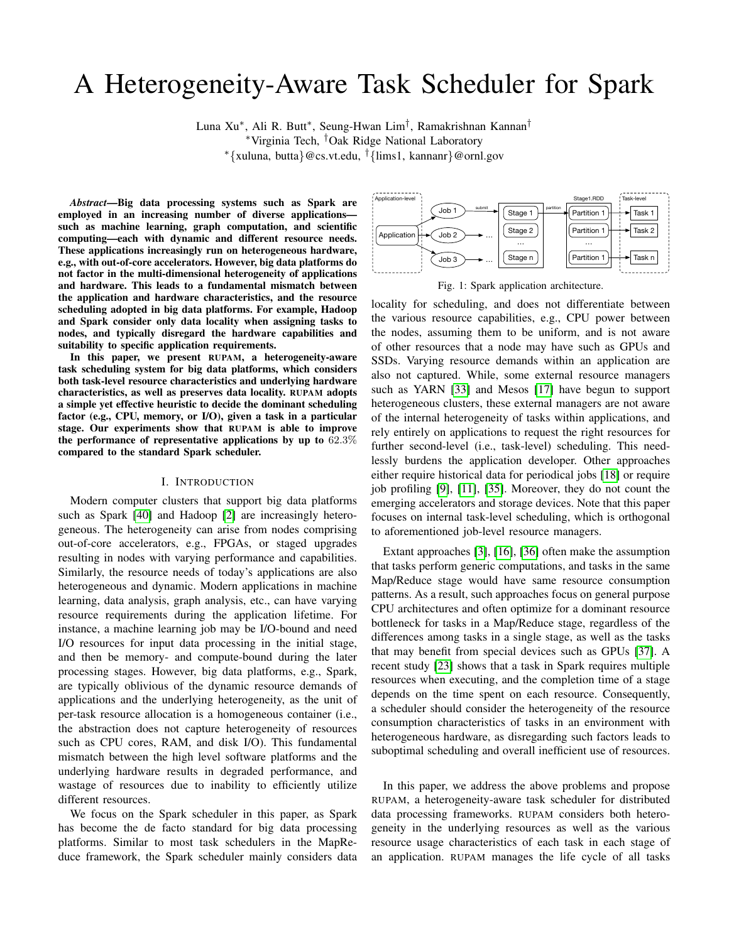# A Heterogeneity-Aware Task Scheduler for Spark

Luna Xu<sup>∗</sup>, Ali R. Butt<sup>∗</sup>, Seung-Hwan Lim<sup>†</sup>, Ramakrishnan Kannan<sup>†</sup>

<sup>∗</sup>Virginia Tech, †Oak Ridge National Laboratory

<sup>∗</sup>{xuluna, butta}@cs.vt.edu, †{lims1, kannanr}@ornl.gov

*Abstract*—Big data processing systems such as Spark are employed in an increasing number of diverse applications such as machine learning, graph computation, and scientific computing—each with dynamic and different resource needs. These applications increasingly run on heterogeneous hardware, e.g., with out-of-core accelerators. However, big data platforms do not factor in the multi-dimensional heterogeneity of applications and hardware. This leads to a fundamental mismatch between the application and hardware characteristics, and the resource scheduling adopted in big data platforms. For example, Hadoop and Spark consider only data locality when assigning tasks to nodes, and typically disregard the hardware capabilities and suitability to specific application requirements.

In this paper, we present RUPAM, a heterogeneity-aware task scheduling system for big data platforms, which considers both task-level resource characteristics and underlying hardware characteristics, as well as preserves data locality. RUPAM adopts a simple yet effective heuristic to decide the dominant scheduling factor (e.g., CPU, memory, or I/O), given a task in a particular stage. Our experiments show that RUPAM is able to improve the performance of representative applications by up to  $62.3\%$ compared to the standard Spark scheduler.

#### I. INTRODUCTION

Modern computer clusters that support big data platforms such as Spark [\[40\]](#page-11-0) and Hadoop [\[2\]](#page-10-0) are increasingly heterogeneous. The heterogeneity can arise from nodes comprising out-of-core accelerators, e.g., FPGAs, or staged upgrades resulting in nodes with varying performance and capabilities. Similarly, the resource needs of today's applications are also heterogeneous and dynamic. Modern applications in machine learning, data analysis, graph analysis, etc., can have varying resource requirements during the application lifetime. For instance, a machine learning job may be I/O-bound and need I/O resources for input data processing in the initial stage, and then be memory- and compute-bound during the later processing stages. However, big data platforms, e.g., Spark, are typically oblivious of the dynamic resource demands of applications and the underlying heterogeneity, as the unit of per-task resource allocation is a homogeneous container (i.e., the abstraction does not capture heterogeneity of resources such as CPU cores, RAM, and disk I/O). This fundamental mismatch between the high level software platforms and the underlying hardware results in degraded performance, and wastage of resources due to inability to efficiently utilize different resources.

We focus on the Spark scheduler in this paper, as Spark has become the de facto standard for big data processing platforms. Similar to most task schedulers in the MapReduce framework, the Spark scheduler mainly considers data

<span id="page-0-0"></span>

Fig. 1: Spark application architecture.

locality for scheduling, and does not differentiate between the various resource capabilities, e.g., CPU power between the nodes, assuming them to be uniform, and is not aware of other resources that a node may have such as GPUs and SSDs. Varying resource demands within an application are also not captured. While, some external resource managers such as YARN [\[33\]](#page-11-1) and Mesos [\[17\]](#page-11-2) have begun to support heterogeneous clusters, these external managers are not aware of the internal heterogeneity of tasks within applications, and rely entirely on applications to request the right resources for further second-level (i.e., task-level) scheduling. This needlessly burdens the application developer. Other approaches either require historical data for periodical jobs [\[18\]](#page-11-3) or require job profiling [\[9\]](#page-11-4), [\[11\]](#page-11-5), [\[35\]](#page-11-6). Moreover, they do not count the emerging accelerators and storage devices. Note that this paper focuses on internal task-level scheduling, which is orthogonal to aforementioned job-level resource managers.

Extant approaches [\[3\]](#page-10-1), [\[16\]](#page-11-7), [\[36\]](#page-11-8) often make the assumption that tasks perform generic computations, and tasks in the same Map/Reduce stage would have same resource consumption patterns. As a result, such approaches focus on general purpose CPU architectures and often optimize for a dominant resource bottleneck for tasks in a Map/Reduce stage, regardless of the differences among tasks in a single stage, as well as the tasks that may benefit from special devices such as GPUs [\[37\]](#page-11-9). A recent study [\[23\]](#page-11-10) shows that a task in Spark requires multiple resources when executing, and the completion time of a stage depends on the time spent on each resource. Consequently, a scheduler should consider the heterogeneity of the resource consumption characteristics of tasks in an environment with heterogeneous hardware, as disregarding such factors leads to suboptimal scheduling and overall inefficient use of resources.

In this paper, we address the above problems and propose RUPAM, a heterogeneity-aware task scheduler for distributed data processing frameworks. RUPAM considers both heterogeneity in the underlying resources as well as the various resource usage characteristics of each task in each stage of an application. RUPAM manages the life cycle of all tasks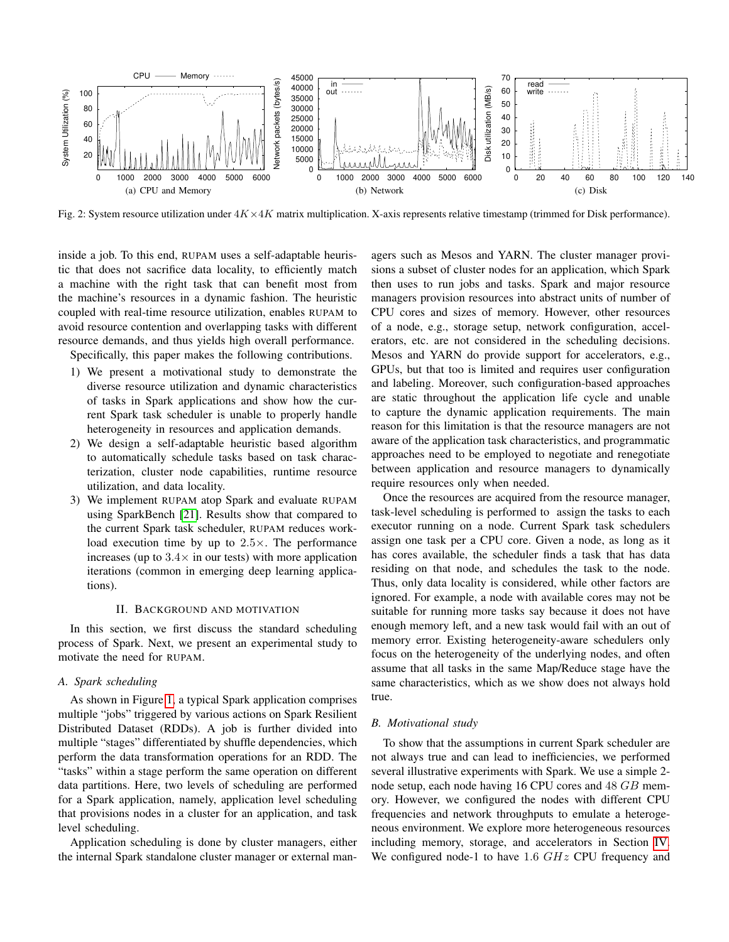<span id="page-1-0"></span>

Fig. 2: System resource utilization under  $4K \times 4K$  matrix multiplication. X-axis represents relative timestamp (trimmed for Disk performance).

inside a job. To this end, RUPAM uses a self-adaptable heuristic that does not sacrifice data locality, to efficiently match a machine with the right task that can benefit most from the machine's resources in a dynamic fashion. The heuristic coupled with real-time resource utilization, enables RUPAM to avoid resource contention and overlapping tasks with different resource demands, and thus yields high overall performance.

Specifically, this paper makes the following contributions.

- 1) We present a motivational study to demonstrate the diverse resource utilization and dynamic characteristics of tasks in Spark applications and show how the current Spark task scheduler is unable to properly handle heterogeneity in resources and application demands.
- 2) We design a self-adaptable heuristic based algorithm to automatically schedule tasks based on task characterization, cluster node capabilities, runtime resource utilization, and data locality.
- 3) We implement RUPAM atop Spark and evaluate RUPAM using SparkBench [\[21\]](#page-11-11). Results show that compared to the current Spark task scheduler, RUPAM reduces workload execution time by up to  $2.5 \times$ . The performance increases (up to  $3.4\times$  in our tests) with more application iterations (common in emerging deep learning applications).

### II. BACKGROUND AND MOTIVATION

In this section, we first discuss the standard scheduling process of Spark. Next, we present an experimental study to motivate the need for RUPAM.

## *A. Spark scheduling*

As shown in Figure [1,](#page-0-0) a typical Spark application comprises multiple "jobs" triggered by various actions on Spark Resilient Distributed Dataset (RDDs). A job is further divided into multiple "stages" differentiated by shuffle dependencies, which perform the data transformation operations for an RDD. The "tasks" within a stage perform the same operation on different data partitions. Here, two levels of scheduling are performed for a Spark application, namely, application level scheduling that provisions nodes in a cluster for an application, and task level scheduling.

Application scheduling is done by cluster managers, either the internal Spark standalone cluster manager or external man-

agers such as Mesos and YARN. The cluster manager provisions a subset of cluster nodes for an application, which Spark then uses to run jobs and tasks. Spark and major resource managers provision resources into abstract units of number of CPU cores and sizes of memory. However, other resources of a node, e.g., storage setup, network configuration, accelerators, etc. are not considered in the scheduling decisions. Mesos and YARN do provide support for accelerators, e.g., GPUs, but that too is limited and requires user configuration and labeling. Moreover, such configuration-based approaches are static throughout the application life cycle and unable to capture the dynamic application requirements. The main reason for this limitation is that the resource managers are not aware of the application task characteristics, and programmatic approaches need to be employed to negotiate and renegotiate between application and resource managers to dynamically require resources only when needed.

Once the resources are acquired from the resource manager, task-level scheduling is performed to assign the tasks to each executor running on a node. Current Spark task schedulers assign one task per a CPU core. Given a node, as long as it has cores available, the scheduler finds a task that has data residing on that node, and schedules the task to the node. Thus, only data locality is considered, while other factors are ignored. For example, a node with available cores may not be suitable for running more tasks say because it does not have enough memory left, and a new task would fail with an out of memory error. Existing heterogeneity-aware schedulers only focus on the heterogeneity of the underlying nodes, and often assume that all tasks in the same Map/Reduce stage have the same characteristics, which as we show does not always hold true.

## *B. Motivational study*

To show that the assumptions in current Spark scheduler are not always true and can lead to inefficiencies, we performed several illustrative experiments with Spark. We use a simple 2 node setup, each node having 16 CPU cores and 48 GB memory. However, we configured the nodes with different CPU frequencies and network throughputs to emulate a heterogeneous environment. We explore more heterogeneous resources including memory, storage, and accelerators in Section [IV.](#page-6-0) We configured node-1 to have  $1.6$   $GHz$  CPU frequency and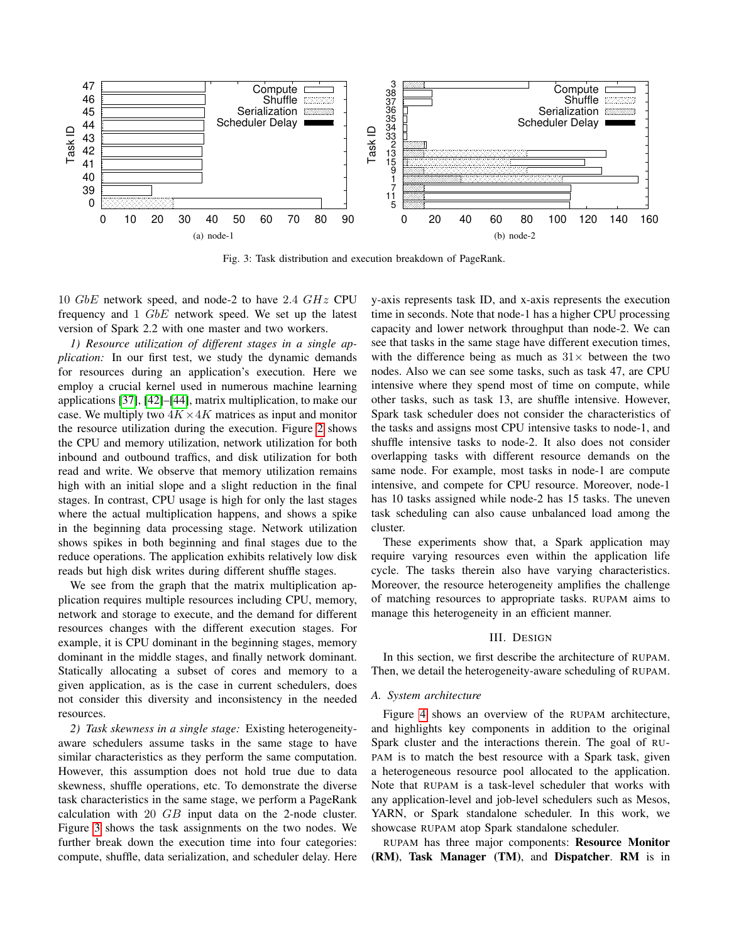<span id="page-2-0"></span>

Fig. 3: Task distribution and execution breakdown of PageRank.

10  $GbE$  network speed, and node-2 to have 2.4  $GHz$  CPU frequency and 1 GbE network speed. We set up the latest version of Spark 2.2 with one master and two workers.

*1) Resource utilization of different stages in a single application:* In our first test, we study the dynamic demands for resources during an application's execution. Here we employ a crucial kernel used in numerous machine learning applications [\[37\]](#page-11-9), [\[42\]](#page-11-12)–[\[44\]](#page-11-13), matrix multiplication, to make our case. We multiply two  $4K \times 4K$  matrices as input and monitor the resource utilization during the execution. Figure [2](#page-1-0) shows the CPU and memory utilization, network utilization for both inbound and outbound traffics, and disk utilization for both read and write. We observe that memory utilization remains high with an initial slope and a slight reduction in the final stages. In contrast, CPU usage is high for only the last stages where the actual multiplication happens, and shows a spike in the beginning data processing stage. Network utilization shows spikes in both beginning and final stages due to the reduce operations. The application exhibits relatively low disk reads but high disk writes during different shuffle stages.

We see from the graph that the matrix multiplication application requires multiple resources including CPU, memory, network and storage to execute, and the demand for different resources changes with the different execution stages. For example, it is CPU dominant in the beginning stages, memory dominant in the middle stages, and finally network dominant. Statically allocating a subset of cores and memory to a given application, as is the case in current schedulers, does not consider this diversity and inconsistency in the needed resources.

<span id="page-2-1"></span>*2) Task skewness in a single stage:* Existing heterogeneityaware schedulers assume tasks in the same stage to have similar characteristics as they perform the same computation. However, this assumption does not hold true due to data skewness, shuffle operations, etc. To demonstrate the diverse task characteristics in the same stage, we perform a PageRank calculation with  $20$   $GB$  input data on the 2-node cluster. Figure [3](#page-2-0) shows the task assignments on the two nodes. We further break down the execution time into four categories: compute, shuffle, data serialization, and scheduler delay. Here y-axis represents task ID, and x-axis represents the execution time in seconds. Note that node-1 has a higher CPU processing capacity and lower network throughput than node-2. We can see that tasks in the same stage have different execution times, with the difference being as much as  $31\times$  between the two nodes. Also we can see some tasks, such as task 47, are CPU intensive where they spend most of time on compute, while other tasks, such as task 13, are shuffle intensive. However, Spark task scheduler does not consider the characteristics of the tasks and assigns most CPU intensive tasks to node-1, and shuffle intensive tasks to node-2. It also does not consider overlapping tasks with different resource demands on the same node. For example, most tasks in node-1 are compute intensive, and compete for CPU resource. Moreover, node-1 has 10 tasks assigned while node-2 has 15 tasks. The uneven task scheduling can also cause unbalanced load among the cluster.

These experiments show that, a Spark application may require varying resources even within the application life cycle. The tasks therein also have varying characteristics. Moreover, the resource heterogeneity amplifies the challenge of matching resources to appropriate tasks. RUPAM aims to manage this heterogeneity in an efficient manner.

# III. DESIGN

In this section, we first describe the architecture of RUPAM. Then, we detail the heterogeneity-aware scheduling of RUPAM.

## *A. System architecture*

Figure [4](#page-3-0) shows an overview of the RUPAM architecture, and highlights key components in addition to the original Spark cluster and the interactions therein. The goal of RU-PAM is to match the best resource with a Spark task, given a heterogeneous resource pool allocated to the application. Note that RUPAM is a task-level scheduler that works with any application-level and job-level schedulers such as Mesos, YARN, or Spark standalone scheduler. In this work, we showcase RUPAM atop Spark standalone scheduler.

RUPAM has three major components: Resource Monitor (RM), Task Manager (TM), and Dispatcher. RM is in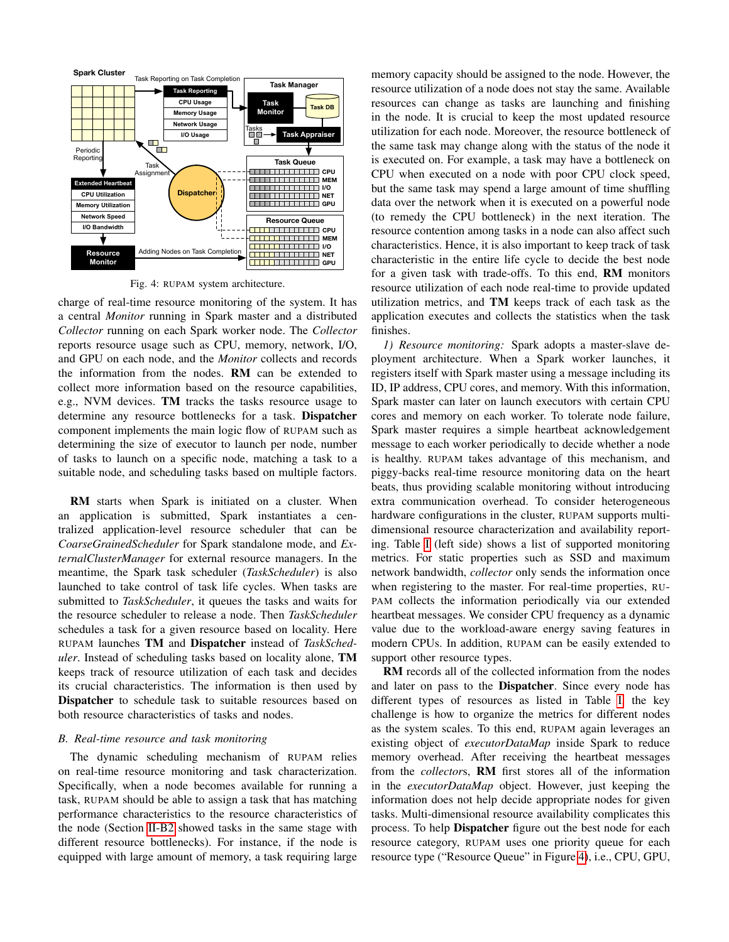<span id="page-3-0"></span>

Fig. 4: RUPAM system architecture.

charge of real-time resource monitoring of the system. It has a central *Monitor* running in Spark master and a distributed *Collector* running on each Spark worker node. The *Collector* reports resource usage such as CPU, memory, network, I/O, and GPU on each node, and the *Monitor* collects and records the information from the nodes. RM can be extended to collect more information based on the resource capabilities, e.g., NVM devices. TM tracks the tasks resource usage to determine any resource bottlenecks for a task. Dispatcher component implements the main logic flow of RUPAM such as determining the size of executor to launch per node, number of tasks to launch on a specific node, matching a task to a suitable node, and scheduling tasks based on multiple factors.

RM starts when Spark is initiated on a cluster. When an application is submitted, Spark instantiates a centralized application-level resource scheduler that can be *CoarseGrainedScheduler* for Spark standalone mode, and *ExternalClusterManager* for external resource managers. In the meantime, the Spark task scheduler (*TaskScheduler*) is also launched to take control of task life cycles. When tasks are submitted to *TaskScheduler*, it queues the tasks and waits for the resource scheduler to release a node. Then *TaskScheduler* schedules a task for a given resource based on locality. Here RUPAM launches TM and Dispatcher instead of *TaskScheduler*. Instead of scheduling tasks based on locality alone, TM keeps track of resource utilization of each task and decides its crucial characteristics. The information is then used by Dispatcher to schedule task to suitable resources based on both resource characteristics of tasks and nodes.

## *B. Real-time resource and task monitoring*

The dynamic scheduling mechanism of RUPAM relies on real-time resource monitoring and task characterization. Specifically, when a node becomes available for running a task, RUPAM should be able to assign a task that has matching performance characteristics to the resource characteristics of the node (Section [II-B2](#page-2-1) showed tasks in the same stage with different resource bottlenecks). For instance, if the node is equipped with large amount of memory, a task requiring large

memory capacity should be assigned to the node. However, the resource utilization of a node does not stay the same. Available resources can change as tasks are launching and finishing in the node. It is crucial to keep the most updated resource utilization for each node. Moreover, the resource bottleneck of the same task may change along with the status of the node it is executed on. For example, a task may have a bottleneck on CPU when executed on a node with poor CPU clock speed, but the same task may spend a large amount of time shuffling data over the network when it is executed on a powerful node (to remedy the CPU bottleneck) in the next iteration. The resource contention among tasks in a node can also affect such characteristics. Hence, it is also important to keep track of task characteristic in the entire life cycle to decide the best node for a given task with trade-offs. To this end, RM monitors resource utilization of each node real-time to provide updated utilization metrics, and TM keeps track of each task as the application executes and collects the statistics when the task finishes.

*1) Resource monitoring:* Spark adopts a master-slave deployment architecture. When a Spark worker launches, it registers itself with Spark master using a message including its ID, IP address, CPU cores, and memory. With this information, Spark master can later on launch executors with certain CPU cores and memory on each worker. To tolerate node failure, Spark master requires a simple heartbeat acknowledgement message to each worker periodically to decide whether a node is healthy. RUPAM takes advantage of this mechanism, and piggy-backs real-time resource monitoring data on the heart beats, thus providing scalable monitoring without introducing extra communication overhead. To consider heterogeneous hardware configurations in the cluster, RUPAM supports multidimensional resource characterization and availability reporting. Table [I](#page-4-0) (left side) shows a list of supported monitoring metrics. For static properties such as SSD and maximum network bandwidth, *collector* only sends the information once when registering to the master. For real-time properties, RU-PAM collects the information periodically via our extended heartbeat messages. We consider CPU frequency as a dynamic value due to the workload-aware energy saving features in modern CPUs. In addition, RUPAM can be easily extended to support other resource types.

RM records all of the collected information from the nodes and later on pass to the Dispatcher. Since every node has different types of resources as listed in Table [I,](#page-4-0) the key challenge is how to organize the metrics for different nodes as the system scales. To this end, RUPAM again leverages an existing object of *executorDataMap* inside Spark to reduce memory overhead. After receiving the heartbeat messages from the *collector*s, RM first stores all of the information in the *executorDataMap* object. However, just keeping the information does not help decide appropriate nodes for given tasks. Multi-dimensional resource availability complicates this process. To help Dispatcher figure out the best node for each resource category, RUPAM uses one priority queue for each resource type ("Resource Queue" in Figure [4\)](#page-3-0), i.e., CPU, GPU,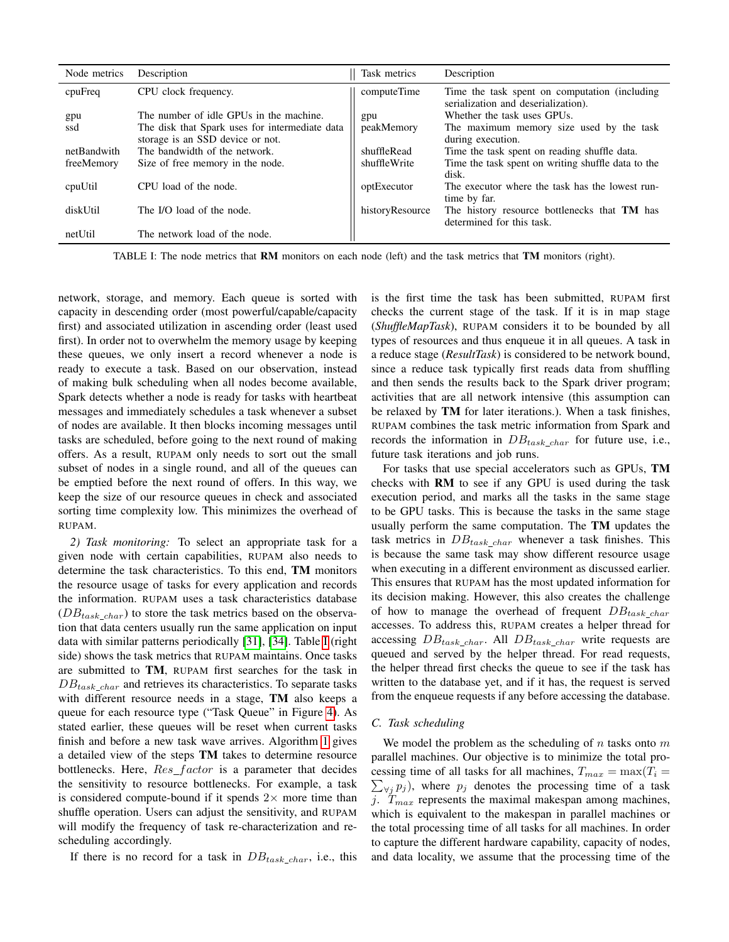<span id="page-4-0"></span>

| Node metrics | Description                                    | Task metrics    | Description                                                                          |
|--------------|------------------------------------------------|-----------------|--------------------------------------------------------------------------------------|
| cpuFreq      | CPU clock frequency.                           | computeTime     | Time the task spent on computation (including<br>serialization and deserialization). |
| gpu          | The number of idle GPUs in the machine.        | gpu             | Whether the task uses GPUs.                                                          |
| ssd          | The disk that Spark uses for intermediate data | peakMemory      | The maximum memory size used by the task                                             |
|              | storage is an SSD device or not.               |                 | during execution.                                                                    |
| netBandwith  | The bandwidth of the network.                  | shuffleRead     | Time the task spent on reading shuffle data.                                         |
| freeMemory   | Size of free memory in the node.               | shuffleWrite    | Time the task spent on writing shuffle data to the                                   |
|              |                                                |                 | disk.                                                                                |
| cpuUtil      | CPU load of the node.                          | optExecutor     | The executor where the task has the lowest run-                                      |
|              |                                                |                 | time by far.                                                                         |
| diskUtil     | The I/O load of the node.                      | historyResource | The history resource bottlenecks that TM has                                         |
|              |                                                |                 | determined for this task.                                                            |
| netUtil      | The network load of the node.                  |                 |                                                                                      |

TABLE I: The node metrics that RM monitors on each node (left) and the task metrics that TM monitors (right).

network, storage, and memory. Each queue is sorted with capacity in descending order (most powerful/capable/capacity first) and associated utilization in ascending order (least used first). In order not to overwhelm the memory usage by keeping these queues, we only insert a record whenever a node is ready to execute a task. Based on our observation, instead of making bulk scheduling when all nodes become available, Spark detects whether a node is ready for tasks with heartbeat messages and immediately schedules a task whenever a subset of nodes are available. It then blocks incoming messages until tasks are scheduled, before going to the next round of making offers. As a result, RUPAM only needs to sort out the small subset of nodes in a single round, and all of the queues can be emptied before the next round of offers. In this way, we keep the size of our resource queues in check and associated sorting time complexity low. This minimizes the overhead of RUPAM.

<span id="page-4-2"></span>*2) Task monitoring:* To select an appropriate task for a given node with certain capabilities, RUPAM also needs to determine the task characteristics. To this end, TM monitors the resource usage of tasks for every application and records the information. RUPAM uses a task characteristics database  $(DB_{task\_char})$  to store the task metrics based on the observation that data centers usually run the same application on input data with similar patterns periodically [\[31\]](#page-11-14), [\[34\]](#page-11-15). Table [I](#page-4-0) (right side) shows the task metrics that RUPAM maintains. Once tasks are submitted to TM, RUPAM first searches for the task in  $DB_{task\_char}$  and retrieves its characteristics. To separate tasks with different resource needs in a stage, TM also keeps a queue for each resource type ("Task Queue" in Figure [4\)](#page-3-0). As stated earlier, these queues will be reset when current tasks finish and before a new task wave arrives. Algorithm [1](#page-5-0) gives a detailed view of the steps TM takes to determine resource bottlenecks. Here,  $Res\_factor$  is a parameter that decides the sensitivity to resource bottlenecks. For example, a task is considered compute-bound if it spends  $2\times$  more time than shuffle operation. Users can adjust the sensitivity, and RUPAM will modify the frequency of task re-characterization and rescheduling accordingly.

If there is no record for a task in  $DB_{task\_char}$ , i.e., this

is the first time the task has been submitted, RUPAM first checks the current stage of the task. If it is in map stage (*ShuffleMapTask*), RUPAM considers it to be bounded by all types of resources and thus enqueue it in all queues. A task in a reduce stage (*ResultTask*) is considered to be network bound, since a reduce task typically first reads data from shuffling and then sends the results back to the Spark driver program; activities that are all network intensive (this assumption can be relaxed by TM for later iterations.). When a task finishes, RUPAM combines the task metric information from Spark and records the information in  $DB_{task~char}$  for future use, i.e., future task iterations and job runs.

For tasks that use special accelerators such as GPUs, TM checks with RM to see if any GPU is used during the task execution period, and marks all the tasks in the same stage to be GPU tasks. This is because the tasks in the same stage usually perform the same computation. The TM updates the task metrics in  $DB_{task\_char}$  whenever a task finishes. This is because the same task may show different resource usage when executing in a different environment as discussed earlier. This ensures that RUPAM has the most updated information for its decision making. However, this also creates the challenge of how to manage the overhead of frequent  $DB_{task~char}$ accesses. To address this, RUPAM creates a helper thread for accessing  $DB_{task\_char}$ . All  $DB_{task\_char}$  write requests are queued and served by the helper thread. For read requests, the helper thread first checks the queue to see if the task has written to the database yet, and if it has, the request is served from the enqueue requests if any before accessing the database.

### <span id="page-4-1"></span>*C. Task scheduling*

We model the problem as the scheduling of  $n$  tasks onto  $m$ parallel machines. Our objective is to minimize the total pro- $\sum_{\forall j} p_j$ ), where  $p_j$  denotes the processing time of a task cessing time of all tasks for all machines,  $T_{max} = \max(T_i =$ j.  $T_{max}$  represents the maximal makespan among machines, which is equivalent to the makespan in parallel machines or the total processing time of all tasks for all machines. In order to capture the different hardware capability, capacity of nodes, and data locality, we assume that the processing time of the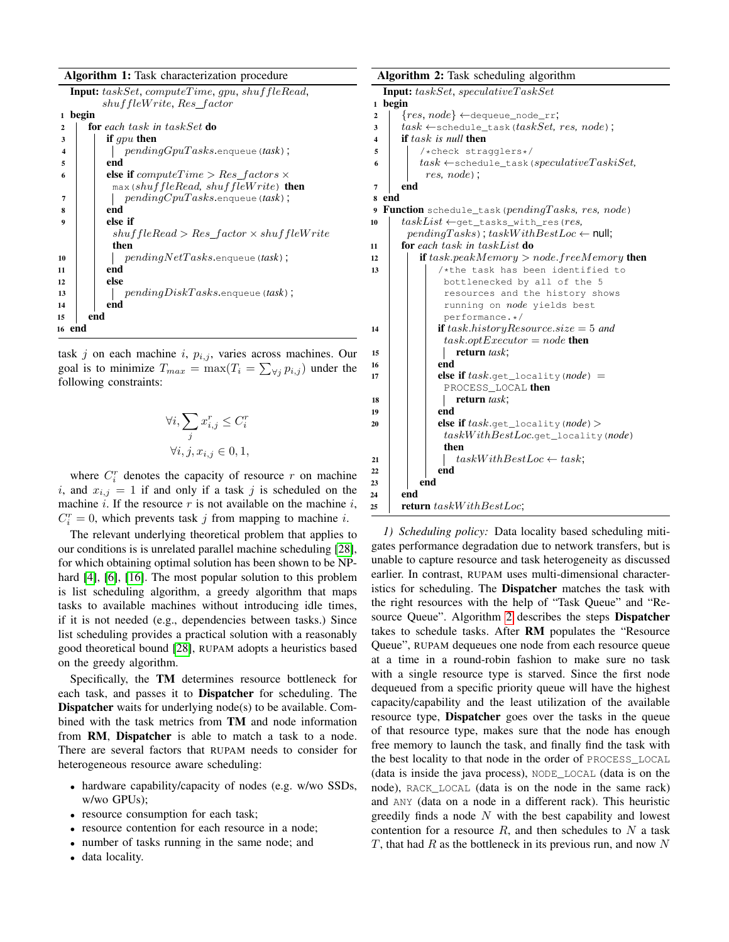| Algorithm 1: Task characterization procedure |  |  |
|----------------------------------------------|--|--|
|----------------------------------------------|--|--|

| <i>Algorium 1, Task Characterization procedure</i>                                  |  |
|-------------------------------------------------------------------------------------|--|
| <b>Input:</b> $taskSet, computeTime, qpu, shuffleRead,$<br>shuffleWrite, Res factor |  |
| begin<br>1                                                                          |  |
| <b>for</b> each task in taskSet <b>do</b><br>$\mathbf{2}$                           |  |
| if $qpu$ then<br>3                                                                  |  |
| $pendingGpuTasks$ . enqueue (task);<br>4                                            |  |
| end<br>5                                                                            |  |
| <b>else if</b> computeTime > $Res\_factors \times$<br>6                             |  |
| $\max$ (shuffleRead, shuffleWrite) then                                             |  |
| $pendingCpuTasks$ . enqueue (task);<br>7                                            |  |
| end<br>8                                                                            |  |
| else if<br>$\boldsymbol{9}$                                                         |  |
| $shuffleRead > Res_factor \times shuffleWrite$                                      |  |
| then                                                                                |  |
| $pendingNetTasks.\n$ enqueue(task);<br>10                                           |  |
| end<br>11                                                                           |  |
| else<br>12                                                                          |  |
| $pendingDiskTask$ sks.enqueue(task);<br>13                                          |  |
| end<br>14                                                                           |  |
| end<br>15                                                                           |  |
| 16 end                                                                              |  |
|                                                                                     |  |

<span id="page-5-0"></span>task j on each machine i,  $p_{i,j}$ , varies across machines. Our goal is to minimize  $T_{max} = \max(T_i = \sum_{\forall j} p_{i,j})$  under the following constraints:

$$
\forall i, \sum_{j} x_{i,j}^r \leq C_i^r
$$
  

$$
\forall i, j, x_{i,j} \in 0, 1,
$$

where  $C_i^r$  denotes the capacity of resource r on machine i, and  $x_{i,j} = 1$  if and only if a task j is scheduled on the machine  $i$ . If the resource  $r$  is not available on the machine  $i$ ,  $C_i^r = 0$ , which prevents task j from mapping to machine i.

The relevant underlying theoretical problem that applies to our conditions is is unrelated parallel machine scheduling [\[28\]](#page-11-16), for which obtaining optimal solution has been shown to be NP-hard [\[4\]](#page-10-2), [\[6\]](#page-10-3), [\[16\]](#page-11-7). The most popular solution to this problem is list scheduling algorithm, a greedy algorithm that maps tasks to available machines without introducing idle times, if it is not needed (e.g., dependencies between tasks.) Since list scheduling provides a practical solution with a reasonably good theoretical bound [\[28\]](#page-11-16), RUPAM adopts a heuristics based on the greedy algorithm.

Specifically, the TM determines resource bottleneck for each task, and passes it to Dispatcher for scheduling. The Dispatcher waits for underlying node(s) to be available. Combined with the task metrics from TM and node information from RM, Dispatcher is able to match a task to a node. There are several factors that RUPAM needs to consider for heterogeneous resource aware scheduling:

- hardware capability/capacity of nodes (e.g. w/wo SSDs, w/wo GPUs);
- resource consumption for each task;
- resource contention for each resource in a node;
- number of tasks running in the same node; and
- data locality.

<span id="page-5-1"></span>

|              | <b>Algorithm 2:</b> Task scheduling algorithm              |
|--------------|------------------------------------------------------------|
|              | Input: taskSet, speculativeTaskSet                         |
| $\mathbf{1}$ | begin                                                      |
| 2            | $\{res, node\} \leftarrow$ dequeue_node_rr;                |
| 3            | $task \leftarrow$ schedule_task( $taskSet, res, node$ );   |
| 4            | if $task$ is null then                                     |
| 5            | /*check stragglers*/                                       |
| 6            | $task \leftarrow$ schedule_task(speculativeTaskiSet,       |
|              | $res, node)$ :                                             |
| 7            | end                                                        |
| 8            | end                                                        |
| 9            | <b>Function</b> schedule_task( $pendingTasks$ , res, node) |
| 10           | $taskList \leftarrow qet\_tasks\_with\_res (res,$          |
|              | $pendingTasks)$ ; $taskWithBestLoc \leftarrow null;$       |
| 11           | for each task in task List $\mathbf{d}$ o                  |
| 12           | <b>if</b> task.peakMemory $>$ node.freeMemory <b>then</b>  |
| 13           | /*the task has been identified to                          |
|              | bottlenecked by all of the 5                               |
|              | resources and the history shows                            |
|              | running on <i>node</i> yields best                         |
|              | performance.*/                                             |
| 14           | <b>if</b> task.historyResource.size = 5 and                |
|              | $task.optExecutor = node$ then                             |
| 15           | return task;                                               |
| 16           | end                                                        |
| 17           | <b>else if</b> $task.get\_locality(node) =$                |
|              | PROCESS LOCAL then                                         |
| 18           | return task;                                               |
| 19           | end                                                        |
| 20           | <b>else if</b> $task.get\_locality(node)$                  |
|              | $taskWithBestLoc.get\_locality (node)$                     |
|              | then                                                       |
| 21           | $taskWithBestLoc \leftarrow task;$                         |
| 22           | end<br>end                                                 |
| 23           | end                                                        |
| 24           | <b>return</b> taskWithBestLoc;                             |
| 25           |                                                            |

*1) Scheduling policy:* Data locality based scheduling mitigates performance degradation due to network transfers, but is unable to capture resource and task heterogeneity as discussed earlier. In contrast, RUPAM uses multi-dimensional characteristics for scheduling. The Dispatcher matches the task with the right resources with the help of "Task Queue" and "Resource Queue". Algorithm [2](#page-5-1) describes the steps Dispatcher takes to schedule tasks. After RM populates the "Resource Queue", RUPAM dequeues one node from each resource queue at a time in a round-robin fashion to make sure no task with a single resource type is starved. Since the first node dequeued from a specific priority queue will have the highest capacity/capability and the least utilization of the available resource type, Dispatcher goes over the tasks in the queue of that resource type, makes sure that the node has enough free memory to launch the task, and finally find the task with the best locality to that node in the order of PROCESS\_LOCAL (data is inside the java process), NODE\_LOCAL (data is on the node), RACK\_LOCAL (data is on the node in the same rack) and ANY (data on a node in a different rack). This heuristic greedily finds a node  $N$  with the best capability and lowest contention for a resource  $R$ , and then schedules to  $N$  a task  $T$ , that had  $R$  as the bottleneck in its previous run, and now  $N$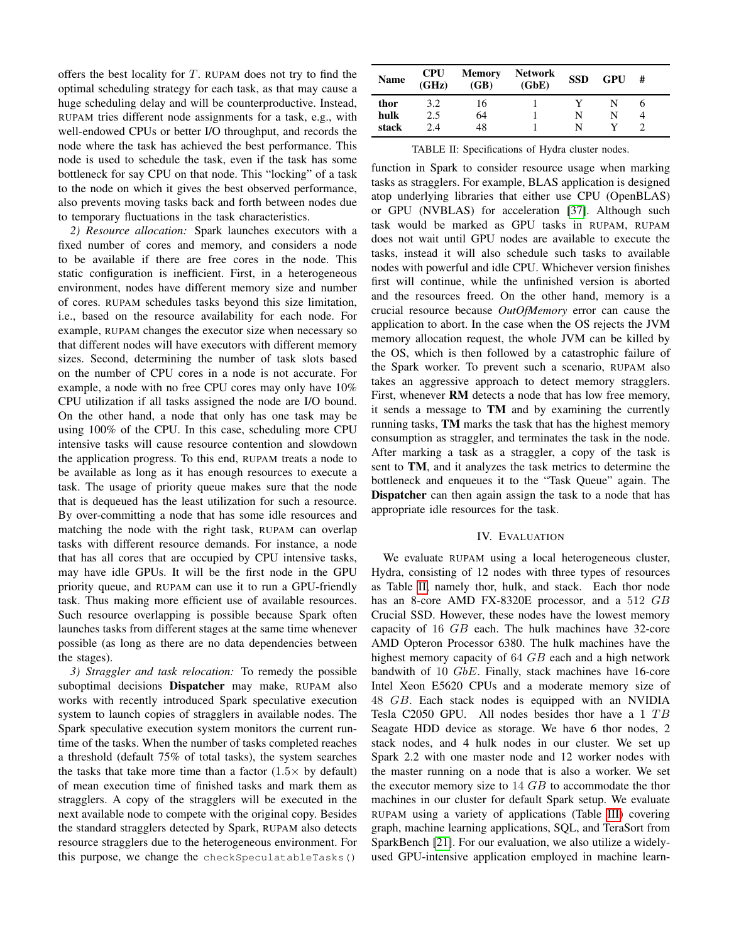offers the best locality for  $T$ . RUPAM does not try to find the optimal scheduling strategy for each task, as that may cause a huge scheduling delay and will be counterproductive. Instead, RUPAM tries different node assignments for a task, e.g., with well-endowed CPUs or better I/O throughput, and records the node where the task has achieved the best performance. This node is used to schedule the task, even if the task has some bottleneck for say CPU on that node. This "locking" of a task to the node on which it gives the best observed performance, also prevents moving tasks back and forth between nodes due to temporary fluctuations in the task characteristics.

*2) Resource allocation:* Spark launches executors with a fixed number of cores and memory, and considers a node to be available if there are free cores in the node. This static configuration is inefficient. First, in a heterogeneous environment, nodes have different memory size and number of cores. RUPAM schedules tasks beyond this size limitation, i.e., based on the resource availability for each node. For example, RUPAM changes the executor size when necessary so that different nodes will have executors with different memory sizes. Second, determining the number of task slots based on the number of CPU cores in a node is not accurate. For example, a node with no free CPU cores may only have 10% CPU utilization if all tasks assigned the node are I/O bound. On the other hand, a node that only has one task may be using 100% of the CPU. In this case, scheduling more CPU intensive tasks will cause resource contention and slowdown the application progress. To this end, RUPAM treats a node to be available as long as it has enough resources to execute a task. The usage of priority queue makes sure that the node that is dequeued has the least utilization for such a resource. By over-committing a node that has some idle resources and matching the node with the right task, RUPAM can overlap tasks with different resource demands. For instance, a node that has all cores that are occupied by CPU intensive tasks, may have idle GPUs. It will be the first node in the GPU priority queue, and RUPAM can use it to run a GPU-friendly task. Thus making more efficient use of available resources. Such resource overlapping is possible because Spark often launches tasks from different stages at the same time whenever possible (as long as there are no data dependencies between the stages).

*3) Straggler and task relocation:* To remedy the possible suboptimal decisions Dispatcher may make, RUPAM also works with recently introduced Spark speculative execution system to launch copies of stragglers in available nodes. The Spark speculative execution system monitors the current runtime of the tasks. When the number of tasks completed reaches a threshold (default 75% of total tasks), the system searches the tasks that take more time than a factor  $(1.5 \times$  by default) of mean execution time of finished tasks and mark them as stragglers. A copy of the stragglers will be executed in the next available node to compete with the original copy. Besides the standard stragglers detected by Spark, RUPAM also detects resource stragglers due to the heterogeneous environment. For this purpose, we change the checkSpeculatableTasks()

<span id="page-6-1"></span>

| <b>Name</b> | <b>CPU</b><br>(GHz) | <b>Memory</b><br>(GB) | <b>Network</b><br>(GbE) | <b>SSD</b> | GPU | # |  |
|-------------|---------------------|-----------------------|-------------------------|------------|-----|---|--|
| thor        | 3.2                 | 16                    |                         |            |     |   |  |
| hulk        | 2.5                 | 64                    |                         | N          | N   |   |  |
| stack       | 24                  | 48                    |                         |            |     |   |  |

TABLE II: Specifications of Hydra cluster nodes.

function in Spark to consider resource usage when marking tasks as stragglers. For example, BLAS application is designed atop underlying libraries that either use CPU (OpenBLAS) or GPU (NVBLAS) for acceleration [\[37\]](#page-11-9). Although such task would be marked as GPU tasks in RUPAM, RUPAM does not wait until GPU nodes are available to execute the tasks, instead it will also schedule such tasks to available nodes with powerful and idle CPU. Whichever version finishes first will continue, while the unfinished version is aborted and the resources freed. On the other hand, memory is a crucial resource because *OutOfMemory* error can cause the application to abort. In the case when the OS rejects the JVM memory allocation request, the whole JVM can be killed by the OS, which is then followed by a catastrophic failure of the Spark worker. To prevent such a scenario, RUPAM also takes an aggressive approach to detect memory stragglers. First, whenever RM detects a node that has low free memory, it sends a message to TM and by examining the currently running tasks, TM marks the task that has the highest memory consumption as straggler, and terminates the task in the node. After marking a task as a straggler, a copy of the task is sent to TM, and it analyzes the task metrics to determine the bottleneck and enqueues it to the "Task Queue" again. The Dispatcher can then again assign the task to a node that has appropriate idle resources for the task.

# IV. EVALUATION

<span id="page-6-0"></span>We evaluate RUPAM using a local heterogeneous cluster, Hydra, consisting of 12 nodes with three types of resources as Table [II,](#page-6-1) namely thor, hulk, and stack. Each thor node has an 8-core AMD FX-8320E processor, and a 512 GB Crucial SSD. However, these nodes have the lowest memory capacity of 16 GB each. The hulk machines have 32-core AMD Opteron Processor 6380. The hulk machines have the highest memory capacity of 64 GB each and a high network bandwith of 10 GbE. Finally, stack machines have 16-core Intel Xeon E5620 CPUs and a moderate memory size of 48 GB. Each stack nodes is equipped with an NVIDIA Tesla C2050 GPU. All nodes besides thor have a  $1$  TB Seagate HDD device as storage. We have 6 thor nodes, 2 stack nodes, and 4 hulk nodes in our cluster. We set up Spark 2.2 with one master node and 12 worker nodes with the master running on a node that is also a worker. We set the executor memory size to  $14$   $GB$  to accommodate the thor machines in our cluster for default Spark setup. We evaluate RUPAM using a variety of applications (Table [III\)](#page-7-0) covering graph, machine learning applications, SQL, and TeraSort from SparkBench [\[21\]](#page-11-11). For our evaluation, we also utilize a widelyused GPU-intensive application employed in machine learn-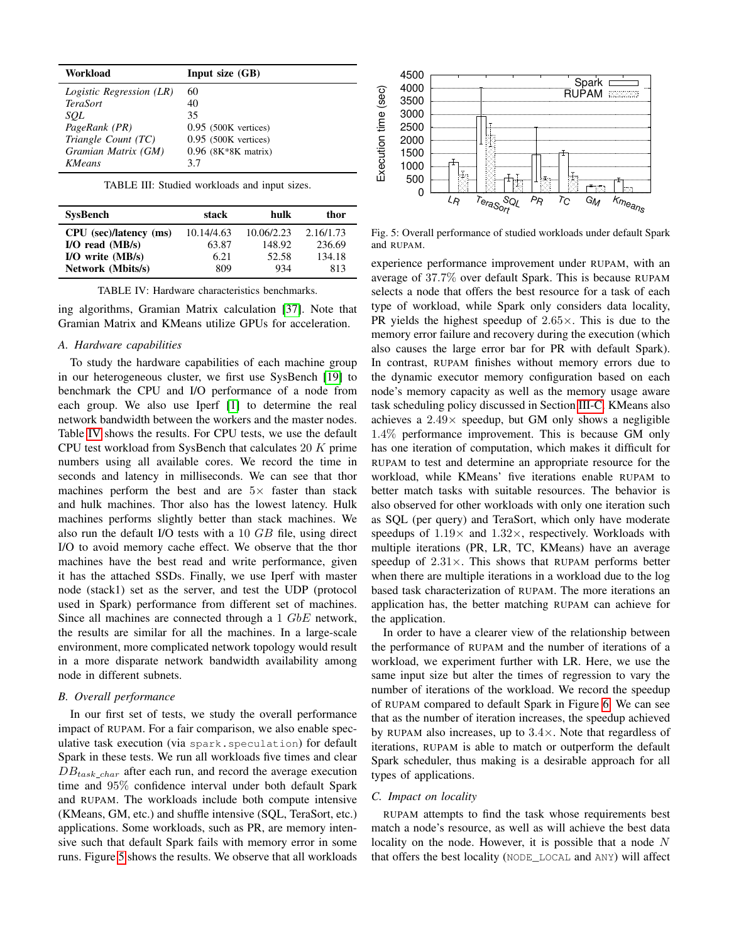<span id="page-7-0"></span>

| Workload                 | Input size $(GB)$      |
|--------------------------|------------------------|
| Logistic Regression (LR) | 60                     |
| <b>TeraSort</b>          | 40                     |
| SOL                      | 35                     |
| PageRank (PR)            | $0.95$ (500K vertices) |
| Triangle Count (TC)      | $0.95$ (500K vertices) |
| Gramian Matrix (GM)      | $0.96$ (8K*8K matrix)  |
| KMeans                   | 3.7                    |

TABLE III: Studied workloads and input sizes.

<span id="page-7-1"></span>

| <b>SysBench</b>        | stack      | hulk       | thor      |
|------------------------|------------|------------|-----------|
| CPU (sec)/latency (ms) | 10.14/4.63 | 10.06/2.23 | 2.16/1.73 |
| $I/O$ read $(MB/s)$    | 63.87      | 148.92     | 236.69    |
| $I/O$ write $(MB/s)$   | 6.21       | 52.58      | 134.18    |
| Network (Mbits/s)      | 809        | 934        | 813       |

TABLE IV: Hardware characteristics benchmarks.

ing algorithms, Gramian Matrix calculation [\[37\]](#page-11-9). Note that Gramian Matrix and KMeans utilize GPUs for acceleration.

# *A. Hardware capabilities*

To study the hardware capabilities of each machine group in our heterogeneous cluster, we first use SysBench [\[19\]](#page-11-17) to benchmark the CPU and I/O performance of a node from each group. We also use Iperf [\[1\]](#page-10-4) to determine the real network bandwidth between the workers and the master nodes. Table [IV](#page-7-1) shows the results. For CPU tests, we use the default CPU test workload from SysBench that calculates  $20 K$  prime numbers using all available cores. We record the time in seconds and latency in milliseconds. We can see that thor machines perform the best and are  $5\times$  faster than stack and hulk machines. Thor also has the lowest latency. Hulk machines performs slightly better than stack machines. We also run the default I/O tests with a 10 GB file, using direct I/O to avoid memory cache effect. We observe that the thor machines have the best read and write performance, given it has the attached SSDs. Finally, we use Iperf with master node (stack1) set as the server, and test the UDP (protocol used in Spark) performance from different set of machines. Since all machines are connected through a 1 GbE network, the results are similar for all the machines. In a large-scale environment, more complicated network topology would result in a more disparate network bandwidth availability among node in different subnets.

## *B. Overall performance*

In our first set of tests, we study the overall performance impact of RUPAM. For a fair comparison, we also enable speculative task execution (via spark.speculation) for default Spark in these tests. We run all workloads five times and clear  $DB_{task char}$  after each run, and record the average execution time and 95% confidence interval under both default Spark and RUPAM. The workloads include both compute intensive (KMeans, GM, etc.) and shuffle intensive (SQL, TeraSort, etc.) applications. Some workloads, such as PR, are memory intensive such that default Spark fails with memory error in some runs. Figure [5](#page-7-2) shows the results. We observe that all workloads

<span id="page-7-2"></span>

Fig. 5: Overall performance of studied workloads under default Spark and RUPAM.

experience performance improvement under RUPAM, with an average of 37.7% over default Spark. This is because RUPAM selects a node that offers the best resource for a task of each type of workload, while Spark only considers data locality, PR yields the highest speedup of  $2.65\times$ . This is due to the memory error failure and recovery during the execution (which also causes the large error bar for PR with default Spark). In contrast, RUPAM finishes without memory errors due to the dynamic executor memory configuration based on each node's memory capacity as well as the memory usage aware task scheduling policy discussed in Section [III-C.](#page-4-1) KMeans also achieves a  $2.49\times$  speedup, but GM only shows a negligible 1.4% performance improvement. This is because GM only has one iteration of computation, which makes it difficult for RUPAM to test and determine an appropriate resource for the workload, while KMeans' five iterations enable RUPAM to better match tasks with suitable resources. The behavior is also observed for other workloads with only one iteration such as SQL (per query) and TeraSort, which only have moderate speedups of  $1.19\times$  and  $1.32\times$ , respectively. Workloads with multiple iterations (PR, LR, TC, KMeans) have an average speedup of  $2.31\times$ . This shows that RUPAM performs better when there are multiple iterations in a workload due to the log based task characterization of RUPAM. The more iterations an application has, the better matching RUPAM can achieve for the application.

In order to have a clearer view of the relationship between the performance of RUPAM and the number of iterations of a workload, we experiment further with LR. Here, we use the same input size but alter the times of regression to vary the number of iterations of the workload. We record the speedup of RUPAM compared to default Spark in Figure [6.](#page-8-0) We can see that as the number of iteration increases, the speedup achieved by RUPAM also increases, up to  $3.4\times$ . Note that regardless of iterations, RUPAM is able to match or outperform the default Spark scheduler, thus making is a desirable approach for all types of applications.

## <span id="page-7-3"></span>*C. Impact on locality*

RUPAM attempts to find the task whose requirements best match a node's resource, as well as will achieve the best data locality on the node. However, it is possible that a node N that offers the best locality (NODE\_LOCAL and ANY) will affect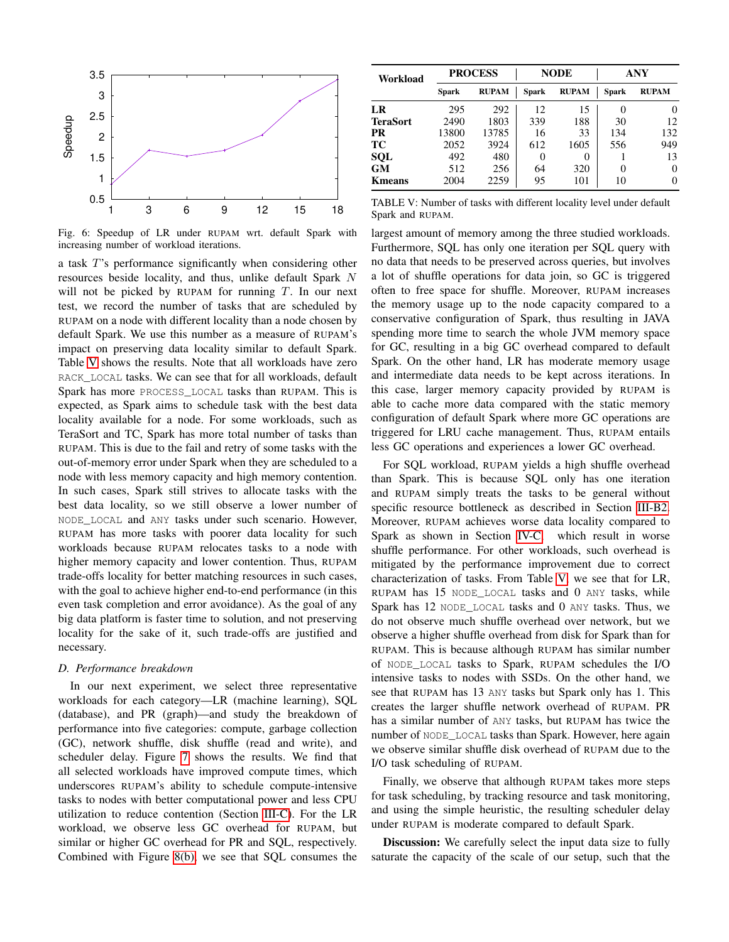<span id="page-8-0"></span>

Fig. 6: Speedup of LR under RUPAM wrt. default Spark with increasing number of workload iterations.

a task T's performance significantly when considering other resources beside locality, and thus, unlike default Spark N will not be picked by RUPAM for running  $T$ . In our next test, we record the number of tasks that are scheduled by RUPAM on a node with different locality than a node chosen by default Spark. We use this number as a measure of RUPAM's impact on preserving data locality similar to default Spark. Table [V](#page-8-1) shows the results. Note that all workloads have zero RACK\_LOCAL tasks. We can see that for all workloads, default Spark has more PROCESS\_LOCAL tasks than RUPAM. This is expected, as Spark aims to schedule task with the best data locality available for a node. For some workloads, such as TeraSort and TC, Spark has more total number of tasks than RUPAM. This is due to the fail and retry of some tasks with the out-of-memory error under Spark when they are scheduled to a node with less memory capacity and high memory contention. In such cases, Spark still strives to allocate tasks with the best data locality, so we still observe a lower number of NODE\_LOCAL and ANY tasks under such scenario. However, RUPAM has more tasks with poorer data locality for such workloads because RUPAM relocates tasks to a node with higher memory capacity and lower contention. Thus, RUPAM trade-offs locality for better matching resources in such cases, with the goal to achieve higher end-to-end performance (in this even task completion and error avoidance). As the goal of any big data platform is faster time to solution, and not preserving locality for the sake of it, such trade-offs are justified and necessary.

### *D. Performance breakdown*

In our next experiment, we select three representative workloads for each category—LR (machine learning), SQL (database), and PR (graph)—and study the breakdown of performance into five categories: compute, garbage collection (GC), network shuffle, disk shuffle (read and write), and scheduler delay. Figure [7](#page-9-0) shows the results. We find that all selected workloads have improved compute times, which underscores RUPAM's ability to schedule compute-intensive tasks to nodes with better computational power and less CPU utilization to reduce contention (Section [III-C\)](#page-4-1). For the LR workload, we observe less GC overhead for RUPAM, but similar or higher GC overhead for PR and SQL, respectively. Combined with Figure [8\(b\),](#page-9-1) we see that SQL consumes the

<span id="page-8-1"></span>

| Workload        | <b>PROCESS</b> |              | <b>NODE</b> |              | ANY          |              |
|-----------------|----------------|--------------|-------------|--------------|--------------|--------------|
|                 | Spark          | <b>RUPAM</b> | Spark       | <b>RUPAM</b> | <b>Spark</b> | <b>RUPAM</b> |
| LR              | 295            | 292          | 12          | 15           |              | 0            |
| <b>TeraSort</b> | 2490           | 1803         | 339         | 188          | 30           | 12           |
| <b>PR</b>       | 13800          | 13785        | 16          | 33           | 134          | 132          |
| TС              | 2052           | 3924         | 612         | 1605         | 556          | 949          |
| SQL             | 492            | 480          | $\theta$    | 0            |              | 13           |
| <b>GM</b>       | 512            | 256          | 64          | 320          | 0            | $\theta$     |
| <b>K</b> means  | 2004           | 2259         | 95          | 101          | 10           | 0            |

TABLE V: Number of tasks with different locality level under default Spark and RUPAM.

largest amount of memory among the three studied workloads. Furthermore, SQL has only one iteration per SQL query with no data that needs to be preserved across queries, but involves a lot of shuffle operations for data join, so GC is triggered often to free space for shuffle. Moreover, RUPAM increases the memory usage up to the node capacity compared to a conservative configuration of Spark, thus resulting in JAVA spending more time to search the whole JVM memory space for GC, resulting in a big GC overhead compared to default Spark. On the other hand, LR has moderate memory usage and intermediate data needs to be kept across iterations. In this case, larger memory capacity provided by RUPAM is able to cache more data compared with the static memory configuration of default Spark where more GC operations are triggered for LRU cache management. Thus, RUPAM entails less GC operations and experiences a lower GC overhead.

For SQL workload, RUPAM yields a high shuffle overhead than Spark. This is because SQL only has one iteration and RUPAM simply treats the tasks to be general without specific resource bottleneck as described in Section [III-B2.](#page-4-2) Moreover, RUPAM achieves worse data locality compared to Spark as shown in Section [IV-C,](#page-7-3) which result in worse shuffle performance. For other workloads, such overhead is mitigated by the performance improvement due to correct characterization of tasks. From Table [V,](#page-8-1) we see that for LR, RUPAM has 15 NODE\_LOCAL tasks and 0 ANY tasks, while Spark has 12 NODE\_LOCAL tasks and 0 ANY tasks. Thus, we do not observe much shuffle overhead over network, but we observe a higher shuffle overhead from disk for Spark than for RUPAM. This is because although RUPAM has similar number of NODE\_LOCAL tasks to Spark, RUPAM schedules the I/O intensive tasks to nodes with SSDs. On the other hand, we see that RUPAM has 13 ANY tasks but Spark only has 1. This creates the larger shuffle network overhead of RUPAM. PR has a similar number of ANY tasks, but RUPAM has twice the number of NODE\_LOCAL tasks than Spark. However, here again we observe similar shuffle disk overhead of RUPAM due to the I/O task scheduling of RUPAM.

Finally, we observe that although RUPAM takes more steps for task scheduling, by tracking resource and task monitoring, and using the simple heuristic, the resulting scheduler delay under RUPAM is moderate compared to default Spark.

Discussion: We carefully select the input data size to fully saturate the capacity of the scale of our setup, such that the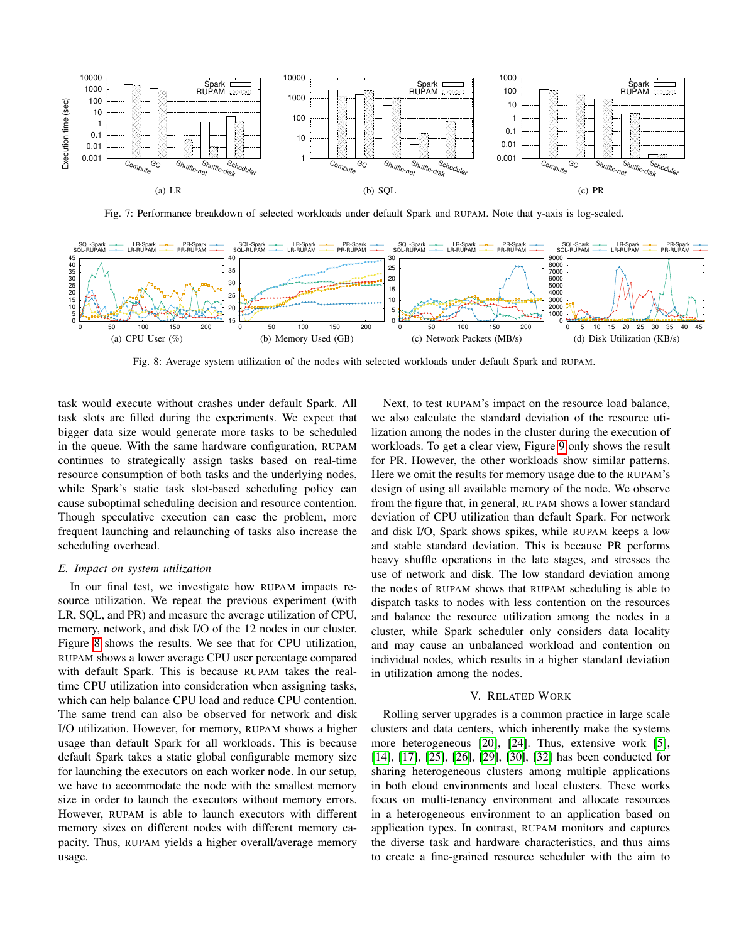<span id="page-9-0"></span>

Fig. 7: Performance breakdown of selected workloads under default Spark and RUPAM. Note that y-axis is log-scaled.

<span id="page-9-2"></span>

<span id="page-9-1"></span>Fig. 8: Average system utilization of the nodes with selected workloads under default Spark and RUPAM.

task would execute without crashes under default Spark. All task slots are filled during the experiments. We expect that bigger data size would generate more tasks to be scheduled in the queue. With the same hardware configuration, RUPAM continues to strategically assign tasks based on real-time resource consumption of both tasks and the underlying nodes, while Spark's static task slot-based scheduling policy can cause suboptimal scheduling decision and resource contention. Though speculative execution can ease the problem, more frequent launching and relaunching of tasks also increase the scheduling overhead.

# *E. Impact on system utilization*

In our final test, we investigate how RUPAM impacts resource utilization. We repeat the previous experiment (with LR, SQL, and PR) and measure the average utilization of CPU, memory, network, and disk I/O of the 12 nodes in our cluster. Figure [8](#page-9-2) shows the results. We see that for CPU utilization, RUPAM shows a lower average CPU user percentage compared with default Spark. This is because RUPAM takes the realtime CPU utilization into consideration when assigning tasks, which can help balance CPU load and reduce CPU contention. The same trend can also be observed for network and disk I/O utilization. However, for memory, RUPAM shows a higher usage than default Spark for all workloads. This is because default Spark takes a static global configurable memory size for launching the executors on each worker node. In our setup, we have to accommodate the node with the smallest memory size in order to launch the executors without memory errors. However, RUPAM is able to launch executors with different memory sizes on different nodes with different memory capacity. Thus, RUPAM yields a higher overall/average memory usage.

Next, to test RUPAM's impact on the resource load balance, we also calculate the standard deviation of the resource utilization among the nodes in the cluster during the execution of workloads. To get a clear view, Figure [9](#page-10-5) only shows the result for PR. However, the other workloads show similar patterns. Here we omit the results for memory usage due to the RUPAM's design of using all available memory of the node. We observe from the figure that, in general, RUPAM shows a lower standard deviation of CPU utilization than default Spark. For network and disk I/O, Spark shows spikes, while RUPAM keeps a low and stable standard deviation. This is because PR performs heavy shuffle operations in the late stages, and stresses the use of network and disk. The low standard deviation among the nodes of RUPAM shows that RUPAM scheduling is able to dispatch tasks to nodes with less contention on the resources and balance the resource utilization among the nodes in a cluster, while Spark scheduler only considers data locality and may cause an unbalanced workload and contention on individual nodes, which results in a higher standard deviation in utilization among the nodes.

### V. RELATED WORK

Rolling server upgrades is a common practice in large scale clusters and data centers, which inherently make the systems more heterogeneous [\[20\]](#page-11-18), [\[24\]](#page-11-19). Thus, extensive work [\[5\]](#page-10-6), [\[14\]](#page-11-20), [\[17\]](#page-11-2), [\[25\]](#page-11-21), [\[26\]](#page-11-22), [\[29\]](#page-11-23), [\[30\]](#page-11-24), [\[32\]](#page-11-25) has been conducted for sharing heterogeneous clusters among multiple applications in both cloud environments and local clusters. These works focus on multi-tenancy environment and allocate resources in a heterogeneous environment to an application based on application types. In contrast, RUPAM monitors and captures the diverse task and hardware characteristics, and thus aims to create a fine-grained resource scheduler with the aim to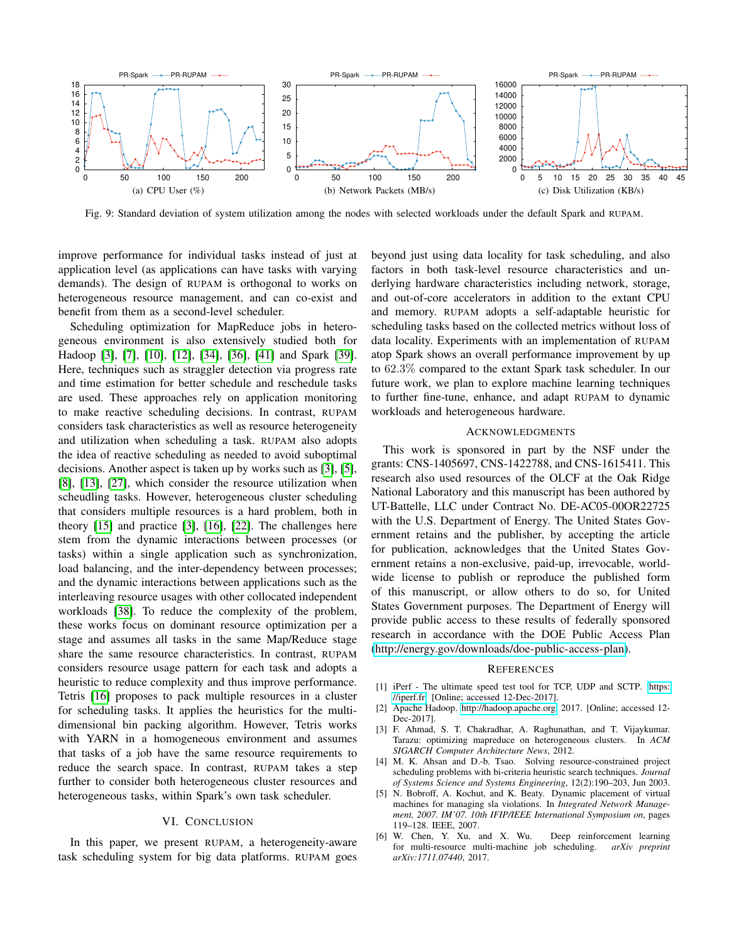<span id="page-10-5"></span>

Fig. 9: Standard deviation of system utilization among the nodes with selected workloads under the default Spark and RUPAM.

improve performance for individual tasks instead of just at application level (as applications can have tasks with varying demands). The design of RUPAM is orthogonal to works on heterogeneous resource management, and can co-exist and benefit from them as a second-level scheduler.

Scheduling optimization for MapReduce jobs in heterogeneous environment is also extensively studied both for Hadoop [\[3\]](#page-10-1), [\[7\]](#page-11-26), [\[10\]](#page-11-27), [\[12\]](#page-11-28), [\[34\]](#page-11-15), [\[36\]](#page-11-8), [\[41\]](#page-11-29) and Spark [\[39\]](#page-11-30). Here, techniques such as straggler detection via progress rate and time estimation for better schedule and reschedule tasks are used. These approaches rely on application monitoring to make reactive scheduling decisions. In contrast, RUPAM considers task characteristics as well as resource heterogeneity and utilization when scheduling a task. RUPAM also adopts the idea of reactive scheduling as needed to avoid suboptimal decisions. Another aspect is taken up by works such as [\[3\]](#page-10-1), [\[5\]](#page-10-6), [\[8\]](#page-11-31), [\[13\]](#page-11-32), [\[27\]](#page-11-33), which consider the resource utilization when scheudling tasks. However, heterogeneous cluster scheduling that considers multiple resources is a hard problem, both in theory [\[15\]](#page-11-34) and practice [\[3\]](#page-10-1), [\[16\]](#page-11-7), [\[22\]](#page-11-35). The challenges here stem from the dynamic interactions between processes (or tasks) within a single application such as synchronization, load balancing, and the inter-dependency between processes; and the dynamic interactions between applications such as the interleaving resource usages with other collocated independent workloads [\[38\]](#page-11-36). To reduce the complexity of the problem, these works focus on dominant resource optimization per a stage and assumes all tasks in the same Map/Reduce stage share the same resource characteristics. In contrast, RUPAM considers resource usage pattern for each task and adopts a heuristic to reduce complexity and thus improve performance. Tetris [\[16\]](#page-11-7) proposes to pack multiple resources in a cluster for scheduling tasks. It applies the heuristics for the multidimensional bin packing algorithm. However, Tetris works with YARN in a homogeneous environment and assumes that tasks of a job have the same resource requirements to reduce the search space. In contrast, RUPAM takes a step further to consider both heterogeneous cluster resources and heterogeneous tasks, within Spark's own task scheduler.

# VI. CONCLUSION

In this paper, we present RUPAM, a heterogeneity-aware task scheduling system for big data platforms. RUPAM goes beyond just using data locality for task scheduling, and also factors in both task-level resource characteristics and underlying hardware characteristics including network, storage, and out-of-core accelerators in addition to the extant CPU and memory. RUPAM adopts a self-adaptable heuristic for scheduling tasks based on the collected metrics without loss of data locality. Experiments with an implementation of RUPAM atop Spark shows an overall performance improvement by up to 62.3% compared to the extant Spark task scheduler. In our future work, we plan to explore machine learning techniques to further fine-tune, enhance, and adapt RUPAM to dynamic workloads and heterogeneous hardware.

#### ACKNOWLEDGMENTS

This work is sponsored in part by the NSF under the grants: CNS-1405697, CNS-1422788, and CNS-1615411. This research also used resources of the OLCF at the Oak Ridge National Laboratory and this manuscript has been authored by UT-Battelle, LLC under Contract No. DE-AC05-00OR22725 with the U.S. Department of Energy. The United States Government retains and the publisher, by accepting the article for publication, acknowledges that the United States Government retains a non-exclusive, paid-up, irrevocable, worldwide license to publish or reproduce the published form of this manuscript, or allow others to do so, for United States Government purposes. The Department of Energy will provide public access to these results of federally sponsored research in accordance with the DOE Public Access Plan [\(http://energy.gov/downloads/doe-public-access-plan\)](http://energy.gov/downloads/doe-public-access-plan).

#### **REFERENCES**

- <span id="page-10-4"></span>[1] iPerf - The ultimate speed test tool for TCP, UDP and SCTP. [https:](https://iperf.fr) [//iperf.fr.](https://iperf.fr) [Online; accessed 12-Dec-2017].
- <span id="page-10-0"></span>[2] Apache Hadoop. [http://hadoop.apache.org,](http://hadoop.apache.org) 2017. [Online; accessed 12- Dec-2017].
- <span id="page-10-1"></span>[3] F. Ahmad, S. T. Chakradhar, A. Raghunathan, and T. Vijaykumar. Tarazu: optimizing mapreduce on heterogeneous clusters. In *ACM SIGARCH Computer Architecture News*, 2012.
- <span id="page-10-2"></span>[4] M. K. Ahsan and D.-b. Tsao. Solving resource-constrained project scheduling problems with bi-criteria heuristic search techniques. *Journal of Systems Science and Systems Engineering*, 12(2):190–203, Jun 2003.
- <span id="page-10-6"></span>[5] N. Bobroff, A. Kochut, and K. Beaty. Dynamic placement of virtual machines for managing sla violations. In *Integrated Network Management, 2007. IM'07. 10th IFIP/IEEE International Symposium on*, pages 119–128. IEEE, 2007.
- <span id="page-10-3"></span>[6] W. Chen, Y. Xu, and X. Wu. Deep reinforcement learning for multi-resource multi-machine job scheduling. *arXiv preprint arXiv:1711.07440*, 2017.